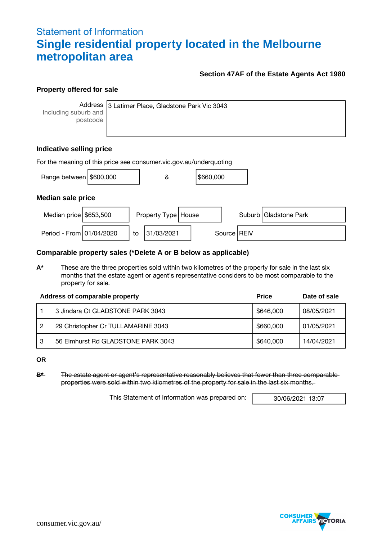# Statement of Information **Single residential property located in the Melbourne metropolitan area**

### **Section 47AF of the Estate Agents Act 1980**

#### **Property offered for sale**

**Address** Including suburb and postcode

3 Latimer Place, Gladstone Park Vic 3043

## **Indicative selling price**

| For the meaning of this price see consumer vic.gov.au/underquoting |  |    |                       |  |           |  |               |                         |  |
|--------------------------------------------------------------------|--|----|-----------------------|--|-----------|--|---------------|-------------------------|--|
| Range between \$600,000                                            |  |    | &                     |  | \$660,000 |  |               |                         |  |
| <b>Median sale price</b>                                           |  |    |                       |  |           |  |               |                         |  |
| Median price $$653,500$                                            |  |    | Property Type   House |  |           |  |               | Suburb   Gladstone Park |  |
| Period - From 01/04/2020                                           |  | to | 31/03/2021            |  |           |  | Source   REIV |                         |  |

#### **Comparable property sales (\*Delete A or B below as applicable)**

**A\*** These are the three properties sold within two kilometres of the property for sale in the last six months that the estate agent or agent's representative considers to be most comparable to the property for sale.

|   | Address of comparable property     | <b>Price</b> | Date of sale |
|---|------------------------------------|--------------|--------------|
|   | 3 Jindara Ct GLADSTONE PARK 3043   | \$646,000    | 08/05/2021   |
|   | 29 Christopher Cr TULLAMARINE 3043 | \$660,000    | 01/05/2021   |
| 3 | 56 Elmhurst Rd GLADSTONE PARK 3043 | \$640,000    | 14/04/2021   |

**OR**

**B\*** The estate agent or agent's representative reasonably believes that fewer than three comparable properties were sold within two kilometres of the property for sale in the last six months.

This Statement of Information was prepared on: 30/06/2021 13:07